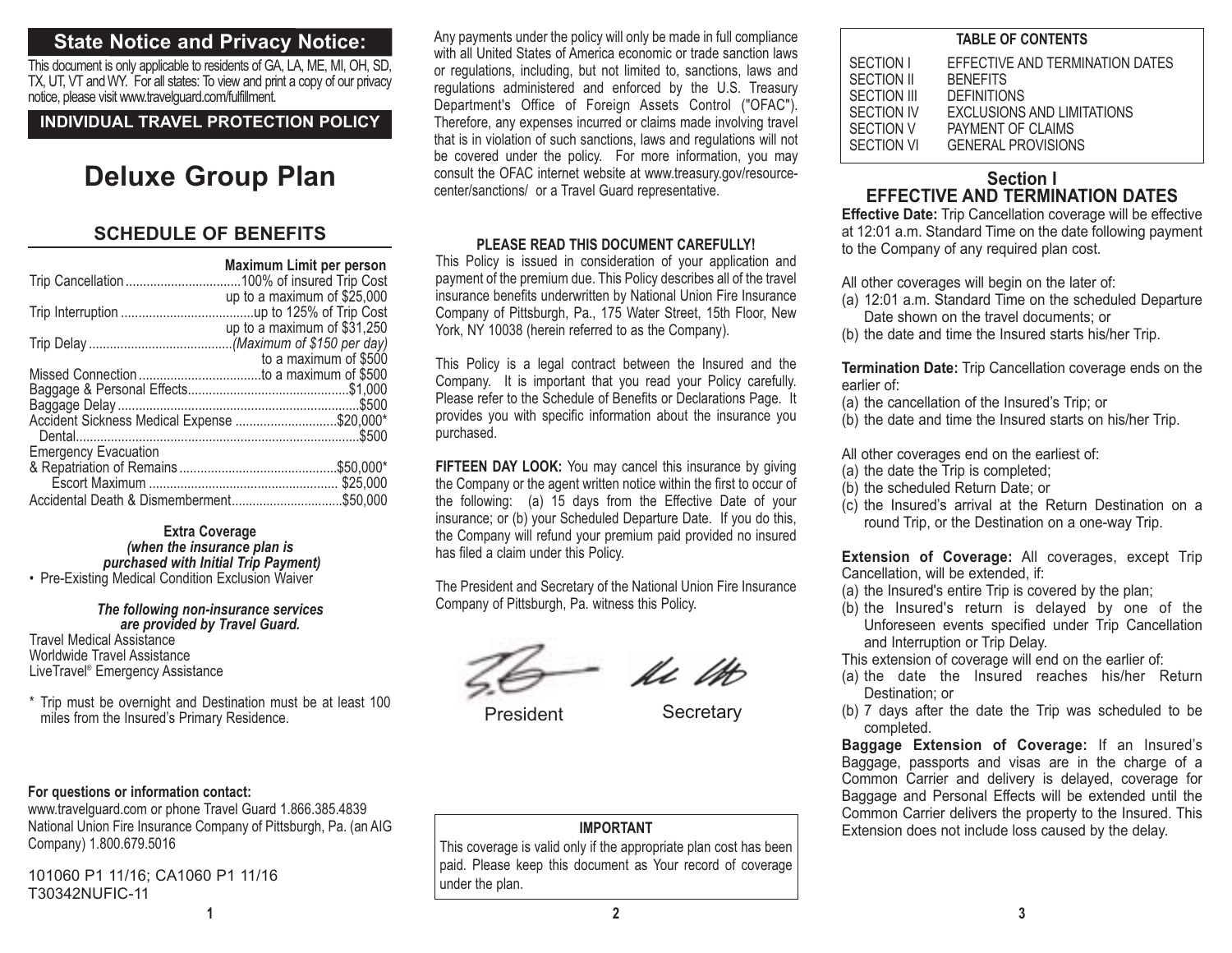# **State Notice and Privacy Notice:**

This document is only applicable to residents of GA, LA, ME, MI, OH, SD, TX, UT, VT and WY. For all states: To view and print a copy of our privacy notice, please visit www.travelguard.com/fulfillment.

**INDIVIDUAL TRAVEL PROTECTION POLICY**

# **Deluxe Group Plan**

# **SCHEDULE OF BENEFITS**

|                                          | Maximum Limit per person     |
|------------------------------------------|------------------------------|
|                                          | up to a maximum of $$25,000$ |
|                                          | up to a maximum of \$31,250  |
|                                          | to a maximum of \$500        |
|                                          |                              |
|                                          |                              |
| <b>Emergency Evacuation</b>              |                              |
|                                          |                              |
| Accidental Death & Dismemberment\$50,000 |                              |

**Extra Coverage** *(when the insurance plan is purchased with Initial Trip Payment)* • Pre-Existing Medical Condition Exclusion Waiver

#### *The following non-insurance services are provided by Travel Guard.*

Travel Medical Assistance Worldwide Travel Assistance LiveTravel® Emergency Assistance

\* Trip must be overnight and Destination must be at least 100 miles from the Insured's Primary Residence.

# **For questions or information contact:**

www.travelguard.com or phone Travel Guard 1.866.385.4839 National Union Fire Insurance Company of Pittsburgh, Pa. (an AIG Company) 1.800.679.5016

101060 P1 11/16; CA1060 P1 11/16 T30342NUFIC-11

**1**

Any payments under the policy will only be made in full compliance with all United States of America economic or trade sanction lawsor regulations, including, but not limited to, sanctions, laws and regulations administered and enforced by the U.S. Treasury Department's Office of Foreign Assets Control ("OFAC"). Therefore, any expenses incurred or claims made involving travel that is in violation of such sanctions, laws and regulations will not be covered under the policy. For more information, you may consult the OFAC internet website at www.treasury.gov/resourcecenter/sanctions/ or a Travel Guard representative.

## **PLEASE READ THIS DOCUMENT CAREFULLY!**

This Policy is issued in consideration of your application and payment of the premium due. This Policy describes all of the travel insurance benefits underwritten by National Union Fire Insurance Company of Pittsburgh, Pa., 175 Water Street, 15th Floor, New York, NY 10038 (herein referred to as the Company).

This Policy is a legal contract between the Insured and the Company. It is important that you read your Policy carefully. Please refer to the Schedule of Benefits or Declarations Page. It provides you with specific information about the insurance you purchased.

**FIFTEEN DAY LOOK:** You may cancel this insurance by giving the Company or the agent written notice within the first to occur of the following: (a) 15 days from the Effective Date of your insurance; or (b) your Scheduled Departure Date. If you do this, the Company will refund your premium paid provided no insured has filed a claim under this Policy.

The President and Secretary of the National Union Fire Insurance Company of Pittsburgh, Pa. witness this Policy.

Ac Mb

President Secretary

# **IMPORTANT**

This coverage is valid only if the appropriate plan cost has been paid. Please keep this document as Your record of coverage under the plan.

| <b>TABLE OF CONTENTS</b>                                                        |                                                                                                                                                                 |  |
|---------------------------------------------------------------------------------|-----------------------------------------------------------------------------------------------------------------------------------------------------------------|--|
| SECTION I<br>SECTION II<br>SECTION III<br>SECTION IV<br>SECTION V<br>SECTION VI | EFFECTIVE AND TERMINATION DATES<br><b>BENEFITS</b><br><b>DEFINITIONS</b><br><b>EXCLUSIONS AND LIMITATIONS</b><br>PAYMENT OF CLAIMS<br><b>GENERAL PROVISIONS</b> |  |
|                                                                                 |                                                                                                                                                                 |  |

# **Section IEFFECTIVE AND TERMINATION DATES**

**Effective Date:** Trip Cancellation coverage will be effective at 12:01 a.m. Standard Time on the date following payment to the Company of any required plan cost.

All other coverages will begin on the later of:

- (a) 12:01 a.m. Standard Time on the scheduled Departure Date shown on the travel documents; or
- (b) the date and time the Insured starts his/her Trip.

**Termination Date:** Trip Cancellation coverage ends on the earlier of:

- (a) the cancellation of the Insured's Trip; or
- (b) the date and time the Insured starts on his/her Trip.

All other coverages end on the earliest of:

- (a) the date the Trip is completed;
- (b) the scheduled Return Date; or
- (c) the Insured's arrival at the Return Destination on a round Trip, or the Destination on a one-way Trip.

**Extension of Coverage:** All coverages, except Trip Cancellation, will be extended, if:

- (a) the Insured's entire Trip is covered by the plan;
- (b) the Insured's return is delayed by one of the Unforeseen events specified under Trip Cancellation and Interruption or Trip Delay.

This extension of coverage will end on the earlier of:

- (a) the date the Insured reaches his/her Return Destination; or
- (b) 7 days after the date the Trip was scheduled to be completed.

**Baggage Extension of Coverage:** If an Insured's Baggage, passports and visas are in the charge of a Common Carrier and delivery is delayed, coverage for Baggage and Personal Effects will be extended until the Common Carrier delivers the property to the Insured. This Extension does not include loss caused by the delay.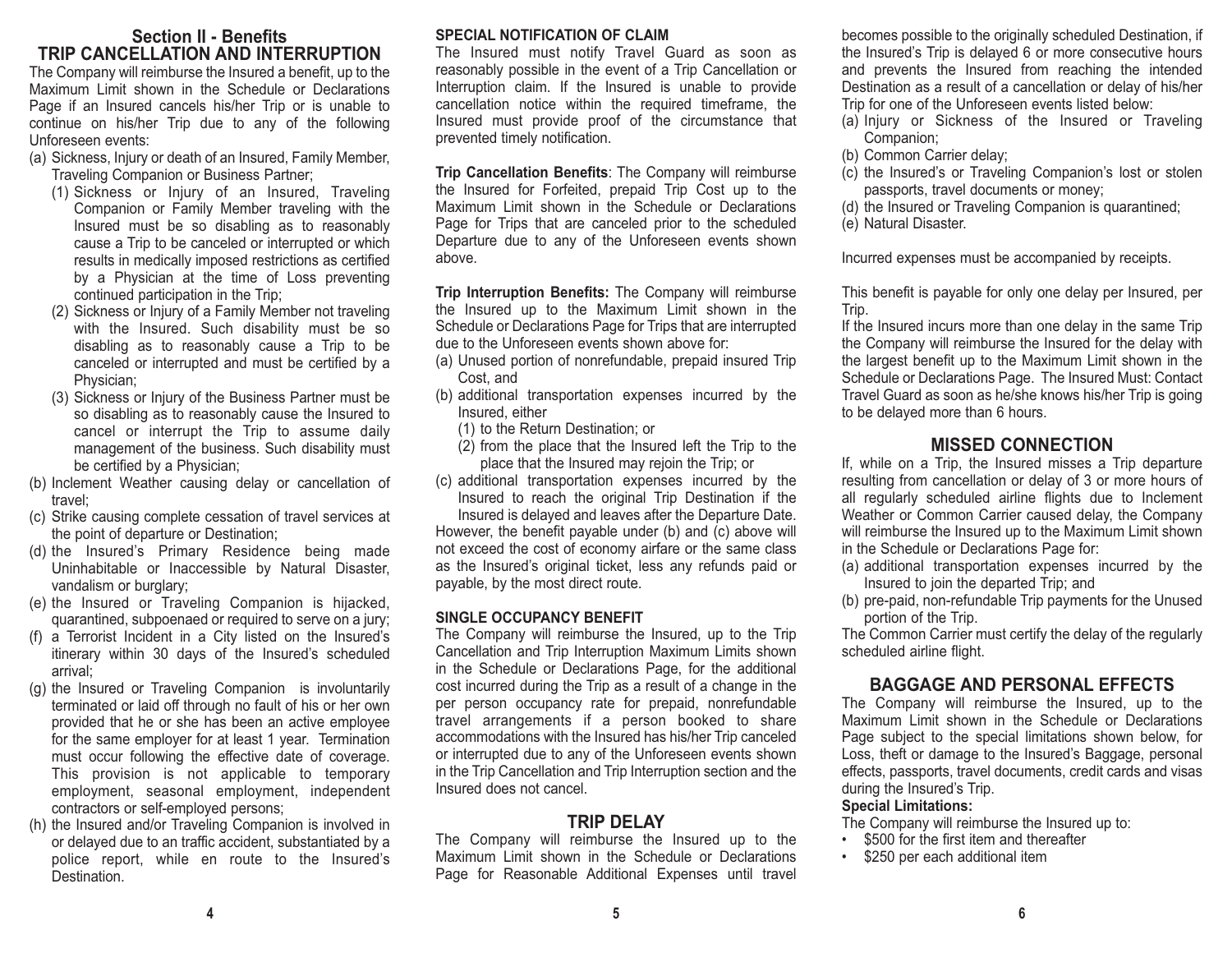# **Section II - BenefitsTRIP CANCELLATION AND INTERRUPTION**

The Company will reimburse the Insured a benefit, up to the Maximum Limit shown in the Schedule or Declarations Page if an Insured cancels his/her Trip or is unable to continue on his/her Trip due to any of the following Unforeseen events:

- (a) Sickness, Injury or death of an Insured, Family Member, Traveling Companion or Business Partner;
	- (1) Sickness or Injury of an Insured, Traveling Companion or Family Member traveling with the Insured must be so disabling as to reasonably cause a Trip to be canceled or interrupted or which results in medically imposed restrictions as certified by a Physician at the time of Loss preventing continued participation in the Trip;
	- (2) Sickness or Injury of a Family Member not traveling with the Insured. Such disability must be so disabling as to reasonably cause a Trip to be canceled or interrupted and must be certified by a Physician;
	- (3) Sickness or Injury of the Business Partner must be so disabling as to reasonably cause the Insured to cancel or interrupt the Trip to assume daily management of the business. Such disability must be certified by a Physician;
- (b) Inclement Weather causing delay or cancellation of travel;
- (c) Strike causing complete cessation of travel services at the point of departure or Destination;
- (d) the Insured's Primary Residence being made Uninhabitable or Inaccessible by Natural Disaster, vandalism or burglary;
- (e) the Insured or Traveling Companion is hijacked, quarantined, subpoenaed or required to serve on a jury;
- (f) a Terrorist Incident in a City listed on the Insured's itinerary within 30 days of the Insured's scheduled arrival;
- (g) the Insured or Traveling Companion is involuntarily terminated or laid off through no fault of his or her own provided that he or she has been an active employee for the same employer for at least 1 year. Termination must occur following the effective date of coverage. This provision is not applicable to temporary employment, seasonal employment, independent contractors or self-employed persons;
- (h) the Insured and/or Traveling Companion is involved in or delayed due to an traffic accident, substantiated by a police report, while en route to the Insured's Destination.

#### **SPECIAL NOTIFICATION OF CLAIM**

The Insured must notify Travel Guard as soon as reasonably possible in the event of a Trip Cancellation or Interruption claim. If the Insured is unable to provide cancellation notice within the required timeframe, the Insured must provide proof of the circumstance that prevented timely notification.

**Trip Cancellation Benefits**: The Company will reimburse the Insured for Forfeited, prepaid Trip Cost up to the Maximum Limit shown in the Schedule or DeclarationsPage for Trips that are canceled prior to the scheduled Departure due to any of the Unforeseen events shown above.

**Trip Interruption Benefits:** The Company will reimburse the Insured up to the Maximum Limit shown in the Schedule or Declarations Page for Trips that are interrupted due to the Unforeseen events shown above for:

- (a) Unused portion of nonrefundable, prepaid insured Trip Cost, and
- (b) additional transportation expenses incurred by the Insured, either
	- (1) to the Return Destination; or
	- (2) from the place that the Insured left the Trip to the place that the Insured may rejoin the Trip; or
- (c) additional transportation expenses incurred by the Insured to reach the original Trip Destination if the

Insured is delayed and leaves after the Departure Date. However, the benefit payable under (b) and (c) above will not exceed the cost of economy airfare or the same class as the Insured's original ticket, less any refunds paid or payable, by the most direct route.

### **SINGLE OCCUPANCY BENEFIT**

The Company will reimburse the Insured, up to the Trip Cancellation and Trip Interruption Maximum Limits shown in the Schedule or Declarations Page, for the additional cost incurred during the Trip as a result of a change in the per person occupancy rate for prepaid, nonrefundable travel arrangements if a person booked to share accommodations with the Insured has his/her Trip canceled or interrupted due to any of the Unforeseen events shown in the Trip Cancellation and Trip Interruption section and the Insured does not cancel.

## **TRIP DELAY**

The Company will reimburse the Insured up to the Maximum Limit shown in the Schedule or DeclarationsPage for Reasonable Additional Expenses until travel becomes possible to the originally scheduled Destination, if the Insured's Trip is delayed 6 or more consecutive hours and prevents the Insured from reaching the intended Destination as a result of a cancellation or delay of his/her Trip for one of the Unforeseen events listed below:

- (a) Injury or Sickness of the Insured or Traveling Companion;
- (b) Common Carrier delay;
- (c) the Insured's or Traveling Companion's lost or stolen passports, travel documents or money;
- (d) the Insured or Traveling Companion is quarantined;
- (e) Natural Disaster.

Incurred expenses must be accompanied by receipts.

This benefit is payable for only one delay per Insured, per Trip.

If the Insured incurs more than one delay in the same Trip the Company will reimburse the Insured for the delay with the largest benefit up to the Maximum Limit shown in the Schedule or Declarations Page. The Insured Must: Contact Travel Guard as soon as he/she knows his/her Trip is going to be delayed more than 6 hours.

# **MISSED CONNECTION**

If, while on a Trip, the Insured misses a Trip departure resulting from cancellation or delay of 3 or more hours of all regularly scheduled airline flights due to Inclement Weather or Common Carrier caused delay, the Company will reimburse the Insured up to the Maximum Limit shown in the Schedule or Declarations Page for:

- (a) additional transportation expenses incurred by the Insured to join the departed Trip; and
- (b) pre-paid, non-refundable Trip payments for the Unused portion of the Trip.

The Common Carrier must certify the delay of the regularly scheduled airline flight.

# **BAGGAGE AND PERSONAL EFFECTS**

The Company will reimburse the Insured, up to the Maximum Limit shown in the Schedule or DeclarationsPage subject to the special limitations shown below, for Loss, theft or damage to the Insured's Baggage, personal effects, passports, travel documents, credit cards and visas during the Insured's Trip.

#### **Special Limitations:**

The Company will reimburse the Insured up to:

- \$500 for the first item and thereafter
- \$250 per each additional item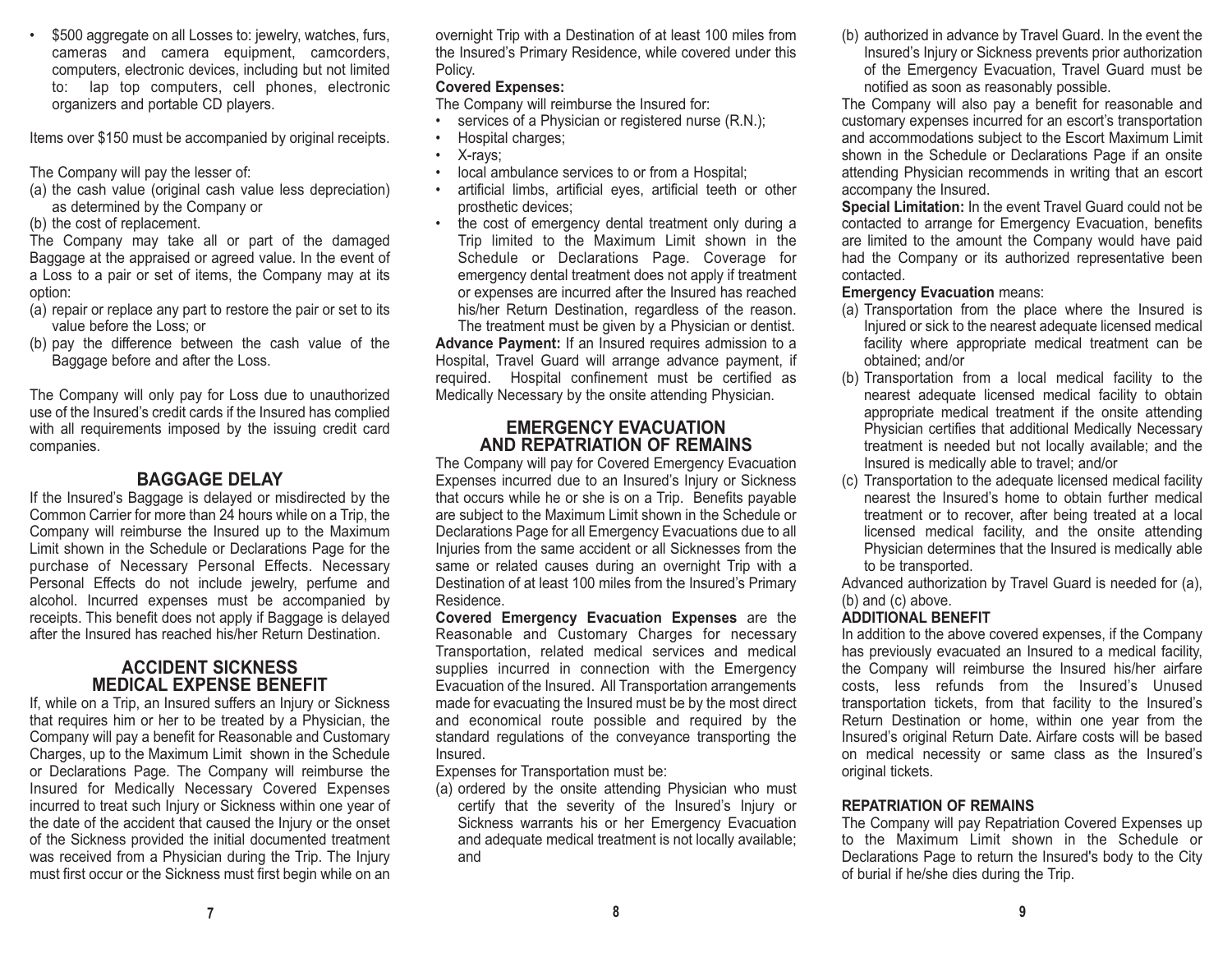\$500 aggregate on all Losses to: jewelry, watches, furs, cameras and camera equipment, camcorders, computers, electronic devices, including but not limited to: lap top computers, cell phones, electronic organizers and portable CD players.

Items over \$150 must be accompanied by original receipts.

The Company will pay the lesser of:

(a) the cash value (original cash value less depreciation) as determined by the Company or

(b) the cost of replacement.

The Company may take all or part of the damaged Baggage at the appraised or agreed value. In the event of a Loss to a pair or set of items, the Company may at its option:

- (a) repair or replace any part to restore the pair or set to its value before the Loss; or
- (b) pay the difference between the cash value of the Baggage before and after the Loss.

The Company will only pay for Loss due to unauthorized use of the Insured's credit cards if the Insured has complied with all requirements imposed by the issuing credit card companies.

# **BAGGAGE DELAY**

If the Insured's Baggage is delayed or misdirected by the Common Carrier for more than 24 hours while on a Trip, the Company will reimburse the Insured up to the Maximum Limit shown in the Schedule or Declarations Page for the purchase of Necessary Personal Effects. Necessary Personal Effects do not include jewelry, perfume and alcohol. Incurred expenses must be accompanied by receipts. This benefit does not apply if Baggage is delayed after the Insured has reached his/her Return Destination.

### **ACCIDENT SICKNESSMEDICAL EXPENSE BENEFIT**

If, while on a Trip, an Insured suffers an Injury or Sickness that requires him or her to be treated by a Physician, the Company will pay a benefit for Reasonable and Customary Charges, up to the Maximum Limit shown in the Schedule or Declarations Page. The Company will reimburse the Insured for Medically Necessary Covered Expenses incurred to treat such Injury or Sickness within one year of the date of the accident that caused the Injury or the onset of the Sickness provided the initial documented treatment was received from a Physician during the Trip. The Injury must first occur or the Sickness must first begin while on an overnight Trip with a Destination of at least 100 miles from the Insured's Primary Residence, while covered under this Policy.

## **Covered Expenses:**

The Company will reimburse the Insured for:

- •services of a Physician or registered nurse (R.N.);
- •Hospital charges;
- •X-rays;
- •local ambulance services to or from a Hospital;
- • artificial limbs, artificial eyes, artificial teeth or other prosthetic devices;
- • the cost of emergency dental treatment only during a Trip limited to the Maximum Limit shown in the Schedule or Declarations Page. Coverage for emergency dental treatment does not apply if treatment or expenses are incurred after the Insured has reached his/her Return Destination, regardless of the reason. The treatment must be given by a Physician or dentist.

**Advance Payment:** If an Insured requires admission to a Hospital, Travel Guard will arrange advance payment, if required. Hospital confinement must be certified as Medically Necessary by the onsite attending Physician.

# **EMERGENCY EVACUATIONAND REPATRIATION OF REMAINS**

The Company will pay for Covered Emergency Evacuation Expenses incurred due to an Insured's Injury or Sickness that occurs while he or she is on a Trip. Benefits payable are subject to the Maximum Limit shown in the Schedule or Declarations Page for all Emergency Evacuations due to all Injuries from the same accident or all Sicknesses from the same or related causes during an overnight Trip with a Destination of at least 100 miles from the Insured's Primary Residence.

**Covered Emergency Evacuation Expenses** are the Reasonable and Customary Charges for necessary Transportation, related medical services and medical supplies incurred in connection with the Emergency Evacuation of the Insured. All Transportation arrangements made for evacuating the Insured must be by the most direct and economical route possible and required by the standard regulations of the conveyance transporting the Insured.

Expenses for Transportation must be:

(a) ordered by the onsite attending Physician who must certify that the severity of the Insured's Injury or Sickness warrants his or her Emergency Evacuation and adequate medical treatment is not locally available; and

(b) authorized in advance by Travel Guard. In the event the Insured's Injury or Sickness prevents prior authorization of the Emergency Evacuation, Travel Guard must be notified as soon as reasonably possible.

The Company will also pay a benefit for reasonable and customary expenses incurred for an escort's transportation and accommodations subject to the Escort Maximum Limit shown in the Schedule or Declarations Page if an onsite attending Physician recommends in writing that an escort accompany the Insured.

**Special Limitation:** In the event Travel Guard could not be contacted to arrange for Emergency Evacuation, benefits are limited to the amount the Company would have paid had the Company or its authorized representative been contacted.

#### **Emergency Evacuation** means:

- (a) Transportation from the place where the Insured is Injured or sick to the nearest adequate licensed medical facility where appropriate medical treatment can be obtained; and/or
- (b) Transportation from a local medical facility to the nearest adequate licensed medical facility to obtain appropriate medical treatment if the onsite attending Physician certifies that additional Medically Necessary treatment is needed but not locally available; and the Insured is medically able to travel; and/or
- (c) Transportation to the adequate licensed medical facility nearest the Insured's home to obtain further medicaltreatment or to recover, after being treated at a local licensed medical facility, and the onsite attending Physician determines that the Insured is medically able to be transported.

Advanced authorization by Travel Guard is needed for (a), (b) and (c) above.

### **ADDITIONAL BENEFIT**

In addition to the above covered expenses, if the Company has previously evacuated an Insured to a medical facility, the Company will reimburse the Insured his/her airfare costs, less refunds from the Insured's Unused transportation tickets, from that facility to the Insured's Return Destination or home, within one year from the Insured's original Return Date. Airfare costs will be based on medical necessity or same class as the Insured's original tickets.

### **REPATRIATION OF REMAINS**

The Company will pay Repatriation Covered Expenses up to the Maximum Limit shown in the Schedule orDeclarations Page to return the Insured's body to the City of burial if he/she dies during the Trip.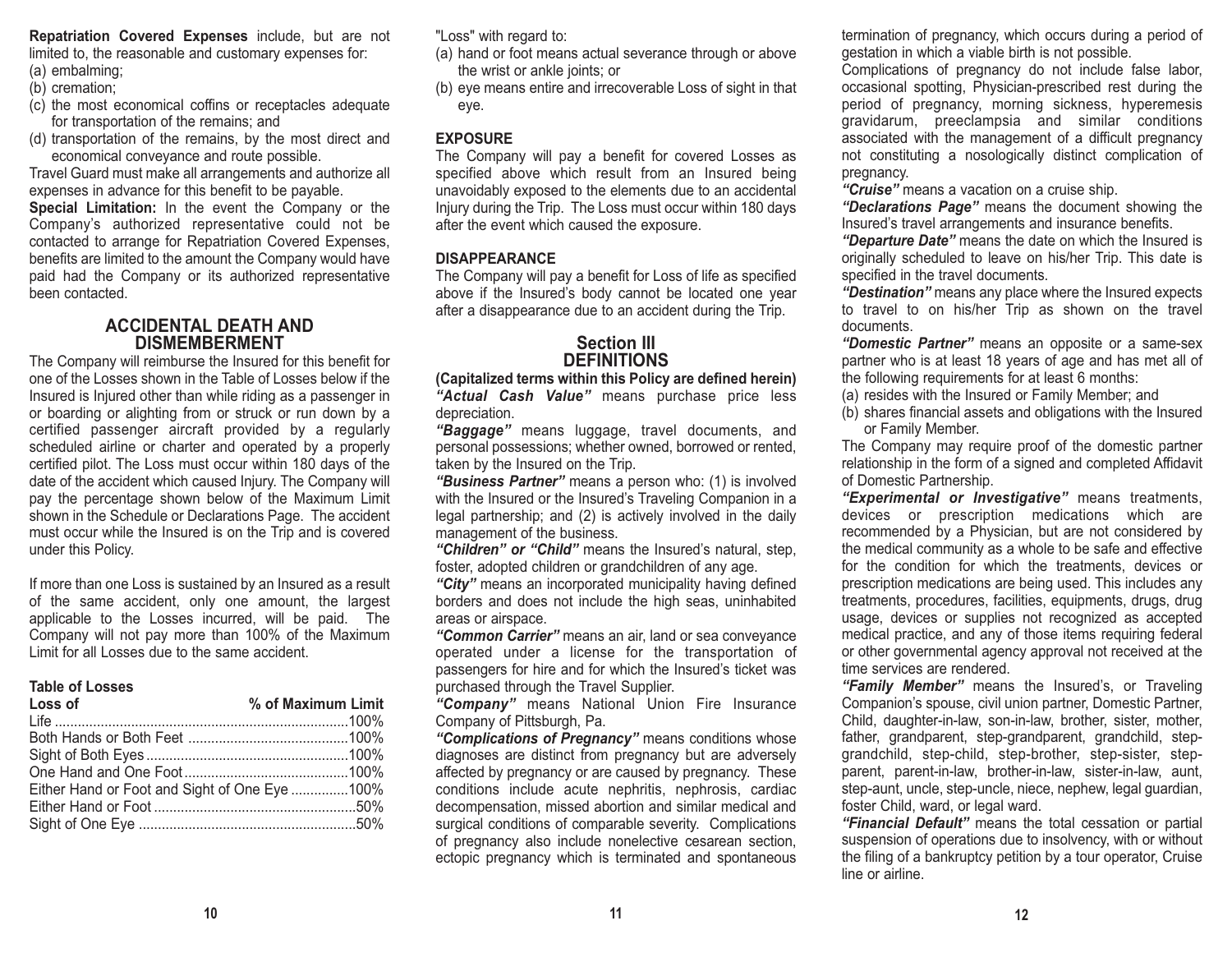**Repatriation Covered Expenses** include, but are not limited to, the reasonable and customary expenses for:

- (a) embalming;
- (b) cremation;
- (c) the most economical coffins or receptacles adequate for transportation of the remains; and
- (d) transportation of the remains, by the most direct and economical conveyance and route possible.

Travel Guard must make all arrangements and authorize all expenses in advance for this benefit to be payable.

**Special Limitation:** In the event the Company or the Company's authorized representative could not be contacted to arrange for Repatriation Covered Expenses, benefits are limited to the amount the Company would have paid had the Company or its authorized representative been contacted.

### **ACCIDENTAL DEATH ANDDISMEMBERMENT**

The Company will reimburse the Insured for this benefit for one of the Losses shown in the Table of Losses below if theInsured is Injured other than while riding as a passenger in or boarding or alighting from or struck or run down by a certified passenger aircraft provided by a regularly scheduled airline or charter and operated by a properly certified pilot. The Loss must occur within 180 days of the date of the accident which caused Injury. The Company will pay the percentage shown below of the Maximum Limit shown in the Schedule or Declarations Page. The accident must occur while the Insured is on the Trip and is covered under this Policy.

If more than one Loss is sustained by an Insured as a result of the same accident, only one amount, the largest applicable to the Losses incurred, will be paid. The Company will not pay more than 100% of the Maximum Limit for all Losses due to the same accident.

#### **Table of Losses**

| Loss of                                       | % of Maximum Limit |
|-----------------------------------------------|--------------------|
|                                               |                    |
|                                               |                    |
|                                               |                    |
|                                               |                    |
| Either Hand or Foot and Sight of One Eye 100% |                    |
|                                               |                    |
|                                               |                    |

"Loss" with regard to:

- (a) hand or foot means actual severance through or above the wrist or ankle joints; or
- (b) eye means entire and irrecoverable Loss of sight in that eye.

## **EXPOSURE**

The Company will pay a benefit for covered Losses as specified above which result from an Insured being unavoidably exposed to the elements due to an accidental Injury during the Trip. The Loss must occur within 180 days after the event which caused the exposure.

## **DISAPPEARANCE**

The Company will pay a benefit for Loss of life as specified above if the Insured's body cannot be located one year after a disappearance due to an accident during the Trip.

# **Section IIIDEFINITIONS**

**(Capitalized terms within this Policy are defined herein)** *"Actual Cash Value"* means purchase price less depreciation.

*"Baggage"* means luggage, travel documents, and personal possessions; whether owned, borrowed or rented, taken by the Insured on the Trip.

*"Business Partner"* means a person who: (1) is involved with the Insured or the Insured's Traveling Companion in a legal partnership; and (2) is actively involved in the daily management of the business.

*"Children" or "Child"* means the Insured's natural, step, foster, adopted children or grandchildren of any age.

*"City"* means an incorporated municipality having defined borders and does not include the high seas, uninhabited areas or airspace.

*"Common Carrier"* means an air, land or sea conveyance operated under a license for the transportation of passengers for hire and for which the Insured's ticket was purchased through the Travel Supplier.

*"Company"* means National Union Fire Insurance Company of Pittsburgh, Pa.

*"Complications of Pregnancy"* means conditions whose diagnoses are distinct from pregnancy but are adversely affected by pregnancy or are caused by pregnancy. These conditions include acute nephritis, nephrosis, cardiac decompensation, missed abortion and similar medical and surgical conditions of comparable severity. Complications of pregnancy also include nonelective cesarean section, ectopic pregnancy which is terminated and spontaneous

termination of pregnancy, which occurs during a period of gestation in which a viable birth is not possible.

Complications of pregnancy do not include false labor, occasional spotting, Physician-prescribed rest during the period of pregnancy, morning sickness, hyperemesis gravidarum, preeclampsia and similar conditions associated with the management of a difficult pregnancy not constituting a nosologically distinct complication of pregnancy.

*"Cruise"* means a vacation on a cruise ship.

*"Declarations Page"* means the document showing the Insured's travel arrangements and insurance benefits.

*"Departure Date"* means the date on which the Insured is originally scheduled to leave on his/her Trip. This date is specified in the travel documents.

*"Destination"* means any place where the Insured expects to travel to on his/her Trip as shown on the travel documents.

*"Domestic Partner"* means an opposite or a same-sex partner who is at least 18 years of age and has met all of the following requirements for at least 6 months:

- (a) resides with the Insured or Family Member; and
- (b) shares financial assets and obligations with the Insured or Family Member.

The Company may require proof of the domestic partner relationship in the form of a signed and completed Affidavit of Domestic Partnership.

*"Experimental or Investigative"* means treatments, devices or prescription medications which are recommended by a Physician, but are not considered by the medical community as a whole to be safe and effective for the condition for which the treatments, devices or prescription medications are being used. This includes any treatments, procedures, facilities, equipments, drugs, drug usage, devices or supplies not recognized as accepted medical practice, and any of those items requiring federal or other governmental agency approval not received at the time services are rendered.

 *"Family Member"* means the Insured's, or Traveling Companion's spouse, civil union partner, Domestic Partner, Child, daughter-in-law, son-in-law, brother, sister, mother, father, grandparent, step-grandparent, grandchild, stepgrandchild, step-child, step-brother, step-sister, stepparent, parent-in-law, brother-in-law, sister-in-law, aunt, step-aunt, uncle, step-uncle, niece, nephew, legal guardian, foster Child, ward, or legal ward.

*"Financial Default"* means the total cessation or partial suspension of operations due to insolvency, with or without the filing of a bankruptcy petition by a tour operator, Cruise line or airline.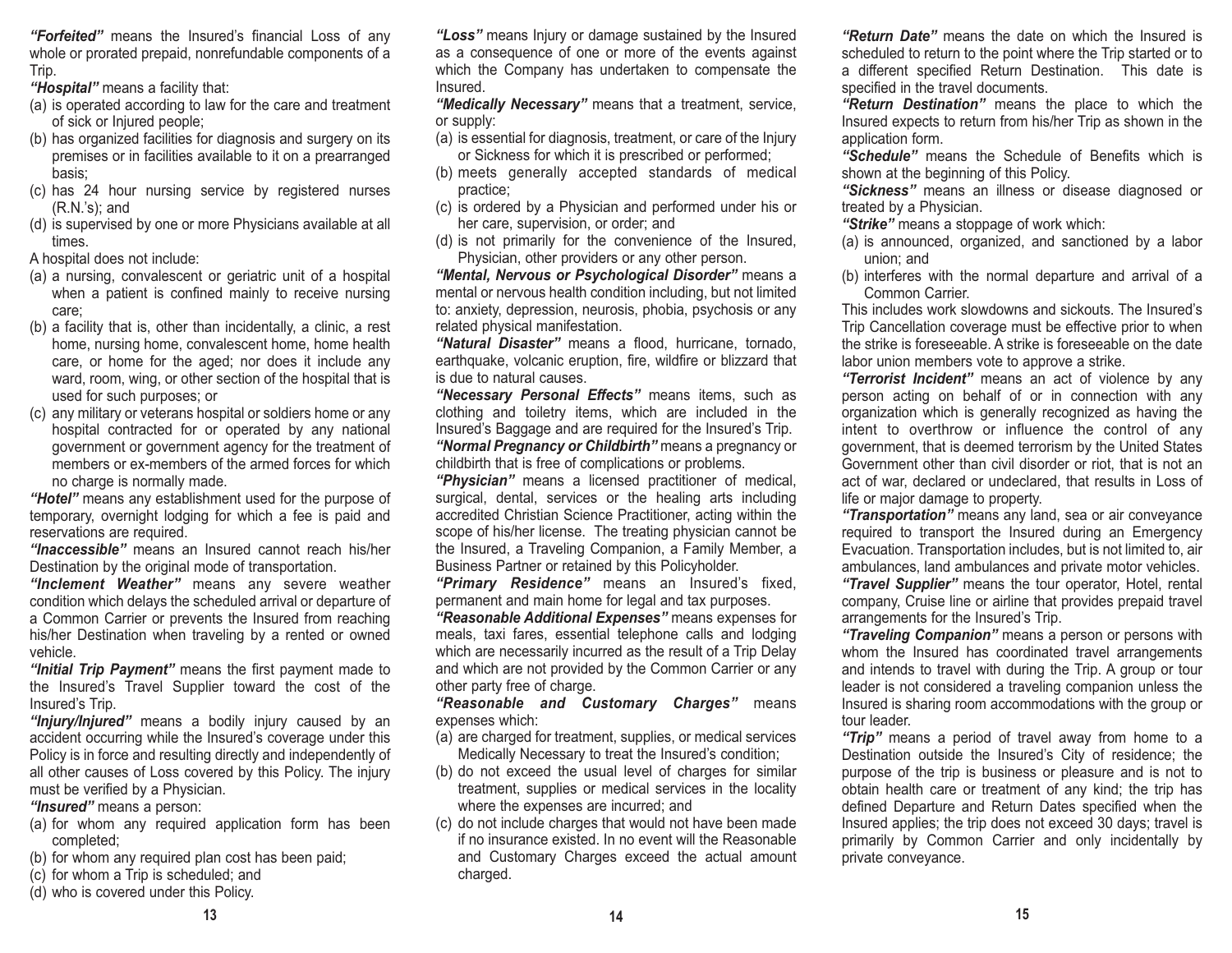*"Forfeited"* means the Insured's financial Loss of any whole or prorated prepaid, nonrefundable components of a Trip.

*"Hospital"* means a facility that:

- (a) is operated according to law for the care and treatment of sick or Injured people;
- (b) has organized facilities for diagnosis and surgery on its premises or in facilities available to it on a prearranged basis;
- (c) has 24 hour nursing service by registered nurses (R.N.'s); and
- (d) is supervised by one or more Physicians available at all times.

A hospital does not include:

- (a) a nursing, convalescent or geriatric unit of a hospital when a patient is confined mainly to receive nursing care;
- (b) a facility that is, other than incidentally, a clinic, a rest home, nursing home, convalescent home, home health care, or home for the aged; nor does it include any ward, room, wing, or other section of the hospital that is used for such purposes; or
- (c) any military or veterans hospital or soldiers home or any hospital contracted for or operated by any national government or government agency for the treatment of members or ex-members of the armed forces for whichno charge is normally made.

*"Hotel"* means any establishment used for the purpose of temporary, overnight lodging for which a fee is paid and reservations are required.

*"Inaccessible"* means an Insured cannot reach his/her Destination by the original mode of transportation.

*"Inclement Weather"* means any severe weather condition which delays the scheduled arrival or departure of a Common Carrier or prevents the Insured from reaching his/her Destination when traveling by a rented or owned vehicle.

*"Initial Trip Payment"* means the first payment made to the Insured's Travel Supplier toward the cost of the Insured's Trip.

*"Injury/Injured"* means a bodily injury caused by an accident occurring while the Insured's coverage under this Policy is in force and resulting directly and independently of all other causes of Loss covered by this Policy. The injury must be verified by a Physician.

*"Insured"* means a person:

- (a) for whom any required application form has been completed;
- (b) for whom any required plan cost has been paid;
- (c) for whom a Trip is scheduled; and
- (d) who is covered under this Policy.

*"Loss"* means Injury or damage sustained by the Insured as a consequence of one or more of the events against which the Company has undertaken to compensate the Insured.

*"Medically Necessary"* means that a treatment, service, or supply:

- (a) is essential for diagnosis, treatment, or care of the Injury or Sickness for which it is prescribed or performed;
- (b) meets generally accepted standards of medical practice;
- (c) is ordered by a Physician and performed under his or her care, supervision, or order; and
- (d) is not primarily for the convenience of the Insured, Physician, other providers or any other person.

*"Mental, Nervous or Psychological Disorder"* means a mental or nervous health condition including, but not limited to: anxiety, depression, neurosis, phobia, psychosis or any related physical manifestation.

*"Natural Disaster"* means a flood, hurricane, tornado, earthquake, volcanic eruption, fire, wildfire or blizzard that is due to natural causes.

*"Necessary Personal Effects"* means items, such as clothing and toiletry items, which are included in the Insured's Baggage and are required for the Insured's Trip. *"Normal Pregnancy or Childbirth"* means a pregnancy or childbirth that is free of complications or problems.

*"Physician"* means a licensed practitioner of medical, surgical, dental, services or the healing arts including accredited Christian Science Practitioner, acting within the scope of his/her license. The treating physician cannot be the Insured, a Traveling Companion, a Family Member, a Business Partner or retained by this Policyholder.

*"Primary Residence"* means an Insured's fixed, permanent and main home for legal and tax purposes.

*"Reasonable Additional Expenses"* means expenses for meals, taxi fares, essential telephone calls and lodging which are necessarily incurred as the result of a Trip Delay and which are not provided by the Common Carrier or any other party free of charge.

*"Reasonable and Customary Charges"* means expenses which:

- (a) are charged for treatment, supplies, or medical services Medically Necessary to treat the Insured's condition;
- (b) do not exceed the usual level of charges for similar treatment, supplies or medical services in the locality where the expenses are incurred; and
- (c) do not include charges that would not have been made if no insurance existed. In no event will the Reasonableand Customary Charges exceed the actual amount charged.

*"Return Date"* means the date on which the Insured is scheduled to return to the point where the Trip started or to a different specified Return Destination. This date is specified in the travel documents.

*"Return Destination"* means the place to which the Insured expects to return from his/her Trip as shown in the application form.

*"Schedule"* means the Schedule of Benefits which is shown at the beginning of this Policy.

*"Sickness"* means an illness or disease diagnosed or treated by a Physician.

*"Strike"* means a stoppage of work which:

- (a) is announced, organized, and sanctioned by a labor union; and
- (b) interferes with the normal departure and arrival of a Common Carrier.

This includes work slowdowns and sickouts. The Insured'sTrip Cancellation coverage must be effective prior to when the strike is foreseeable. A strike is foreseeable on the datelabor union members vote to approve a strike.

*"Terrorist Incident"* means an act of violence by any person acting on behalf of or in connection with any organization which is generally recognized as having the intent to overthrow or influence the control of any government, that is deemed terrorism by the United States Government other than civil disorder or riot, that is not an act of war, declared or undeclared, that results in Loss of life or major damage to property.

*"Transportation"* means any land, sea or air conveyance required to transport the Insured during an Emergency Evacuation. Transportation includes, but is not limited to, air ambulances, land ambulances and private motor vehicles.

*"Travel Supplier"* means the tour operator, Hotel, rental company, Cruise line or airline that provides prepaid travel arrangements for the Insured's Trip.

*"Traveling Companion"* means a person or persons with whom the Insured has coordinated travel arrangements and intends to travel with during the Trip. A group or tour leader is not considered a traveling companion unless the Insured is sharing room accommodations with the group or tour leader.

*"Trip"* means a period of travel away from home to a Destination outside the Insured's City of residence; the purpose of the trip is business or pleasure and is not to obtain health care or treatment of any kind; the trip has defined Departure and Return Dates specified when the Insured applies; the trip does not exceed 30 days; travel is primarily by Common Carrier and only incidentally by private conveyance.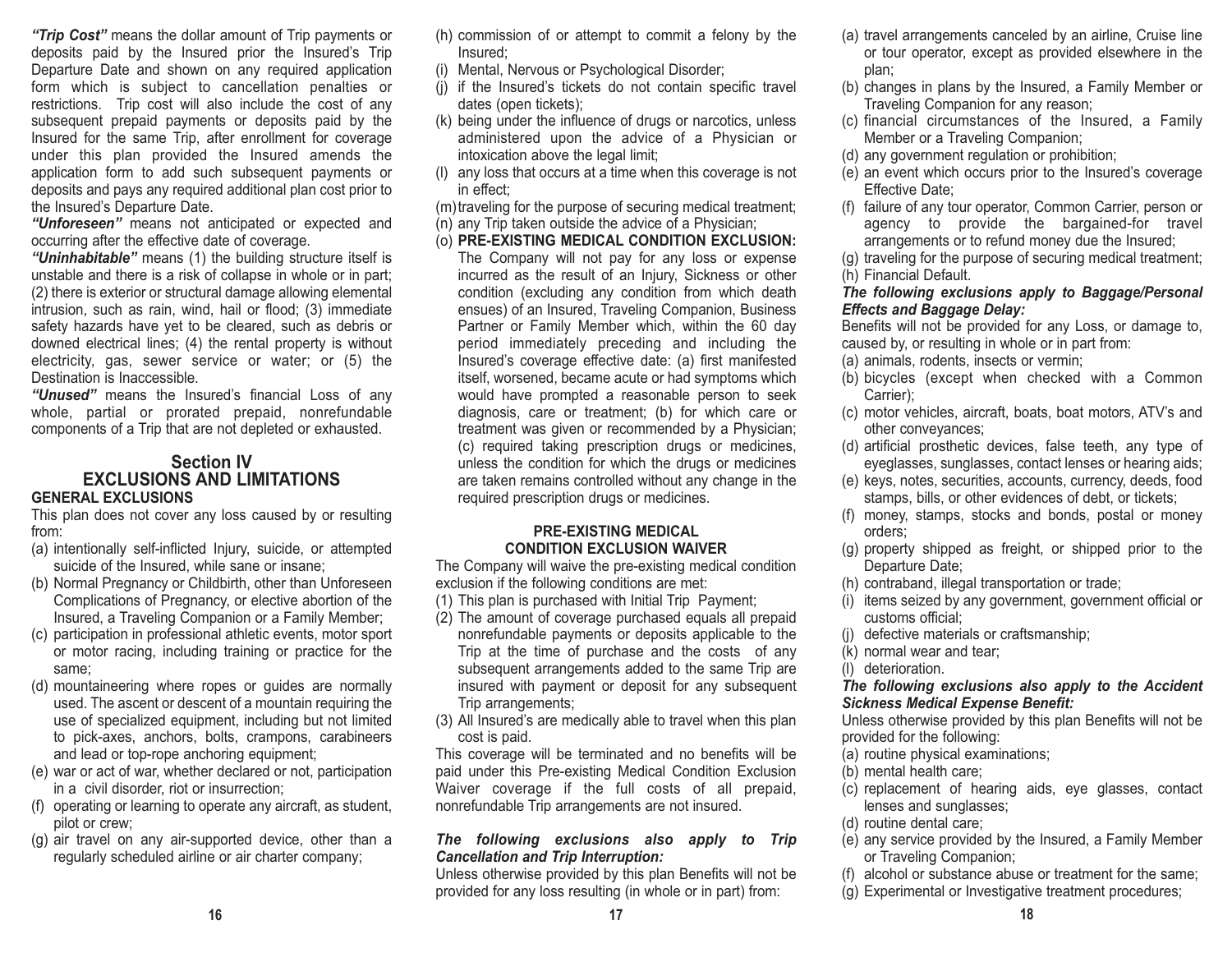*"Trip Cost"* means the dollar amount of Trip payments or deposits paid by the Insured prior the Insured's Trip Departure Date and shown on any required application form which is subject to cancellation penalties or restrictions. Trip cost will also include the cost of any subsequent prepaid payments or deposits paid by the Insured for the same Trip, after enrollment for coverage under this plan provided the Insured amends the application form to add such subsequent payments or deposits and pays any required additional plan cost prior to the Insured's Departure Date.

*"Unforeseen"* means not anticipated or expected and occurring after the effective date of coverage.

*"Uninhabitable"* means (1) the building structure itself is unstable and there is a risk of collapse in whole or in part; (2) there is exterior or structural damage allowing elemental intrusion, such as rain, wind, hail or flood; (3) immediate safety hazards have yet to be cleared, such as debris or downed electrical lines; (4) the rental property is without electricity, gas, sewer service or water; or (5) the Destination is Inaccessible.

*"Unused"* means the Insured's financial Loss of any whole, partial or prorated prepaid, nonrefundable components of a Trip that are not depleted or exhausted.

#### **Section IV EXCLUSIONS AND LIMITATIONSGENERAL EXCLUSIONS**

This plan does not cover any loss caused by or resulting from:

- (a) intentionally self-inflicted Injury, suicide, or attempted suicide of the Insured, while sane or insane;
- (b) Normal Pregnancy or Childbirth, other than Unforeseen Complications of Pregnancy, or elective abortion of the Insured, a Traveling Companion or a Family Member;
- (c) participation in professional athletic events, motor sport or motor racing, including training or practice for the same;
- (d) mountaineering where ropes or guides are normally used. The ascent or descent of a mountain requiring the use of specialized equipment, including but not limited to pick-axes, anchors, bolts, crampons, carabineers and lead or top-rope anchoring equipment;
- (e) war or act of war, whether declared or not, participation in a civil disorder, riot or insurrection;
- (f) operating or learning to operate any aircraft, as student, pilot or crew;
- (g) air travel on any air-supported device, other than a regularly scheduled airline or air charter company;
- (h) commission of or attempt to commit a felony by the Insured;
- (i) Mental, Nervous or Psychological Disorder;
- (j) if the Insured's tickets do not contain specific travel dates (open tickets);
- (k) being under the influence of drugs or narcotics, unless administered upon the advice of a Physician or intoxication above the legal limit;
- (l) any loss that occurs at a time when this coverage is not in effect;

(m)traveling for the purpose of securing medical treatment;

- (n) any Trip taken outside the advice of a Physician;
- (o) **PRE-EXISTING MEDICAL CONDITION EXCLUSION:** The Company will not pay for any loss or expense incurred as the result of an Injury, Sickness or other condition (excluding any condition from which death ensues) of an Insured, Traveling Companion, Business Partner or Family Member which, within the 60 day period immediately preceding and including the Insured's coverage effective date: (a) first manifested itself, worsened, became acute or had symptoms which would have prompted a reasonable person to seek diagnosis, care or treatment; (b) for which care or treatment was given or recommended by a Physician; (c) required taking prescription drugs or medicines, unless the condition for which the drugs or medicines are taken remains controlled without any change in the required prescription drugs or medicines.

### **PRE-EXISTING MEDICAL CONDITION EXCLUSION WAIVER**

The Company will waive the pre-existing medical condition exclusion if the following conditions are met:

- (1) This plan is purchased with Initial Trip Payment;
- (2) The amount of coverage purchased equals all prepaid nonrefundable payments or deposits applicable to the Trip at the time of purchase and the costs of any subsequent arrangements added to the same Trip are insured with payment or deposit for any subsequent Trip arrangements;
- (3) All Insured's are medically able to travel when this plan cost is paid.

This coverage will be terminated and no benefits will be paid under this Pre-existing Medical Condition Exclusion Waiver coverage if the full costs of all prepaid, nonrefundable Trip arrangements are not insured.

### *The following exclusions also apply to Trip Cancellation and Trip Interruption:*

Unless otherwise provided by this plan Benefits will not be provided for any loss resulting (in whole or in part) from:

- (a) travel arrangements canceled by an airline, Cruise line or tour operator, except as provided elsewhere in the plan;
- (b) changes in plans by the Insured, a Family Member or Traveling Companion for any reason;
- (c) financial circumstances of the Insured, a Family Member or a Traveling Companion;
- (d) any government regulation or prohibition;
- (e) an event which occurs prior to the Insured's coverage Effective Date;
- (f) failure of any tour operator, Common Carrier, person or agency to provide the bargained-for travel arrangements or to refund money due the Insured;
- (g) traveling for the purpose of securing medical treatment; (h) Financial Default.

## *The following exclusions apply to Baggage/Personal Effects and Baggage Delay:*

Benefits will not be provided for any Loss, or damage to, caused by, or resulting in whole or in part from:

- (a) animals, rodents, insects or vermin;
- (b) bicycles (except when checked with a Common Carrier);
- (c) motor vehicles, aircraft, boats, boat motors, ATV's and other conveyances;
- (d) artificial prosthetic devices, false teeth, any type of eyeglasses, sunglasses, contact lenses or hearing aids;
- (e) keys, notes, securities, accounts, currency, deeds, food stamps, bills, or other evidences of debt, or tickets;
- (f) money, stamps, stocks and bonds, postal or money orders;
- (g) property shipped as freight, or shipped prior to the Departure Date;
- (h) contraband, illegal transportation or trade;
- (i) items seized by any government, government official or customs official;
- (j) defective materials or craftsmanship;
- (k) normal wear and tear;
- (l) deterioration.

#### *The following exclusions also apply to the Accident Sickness Medical Expense Benefit:*

Unless otherwise provided by this plan Benefits will not be provided for the following:

- (a) routine physical examinations;
- (b) mental health care;
- (c) replacement of hearing aids, eye glasses, contact lenses and sunglasses;
- (d) routine dental care;
- (e) any service provided by the Insured, a Family Member or Traveling Companion;
- (f) alcohol or substance abuse or treatment for the same;
- (g) Experimental or Investigative treatment procedures;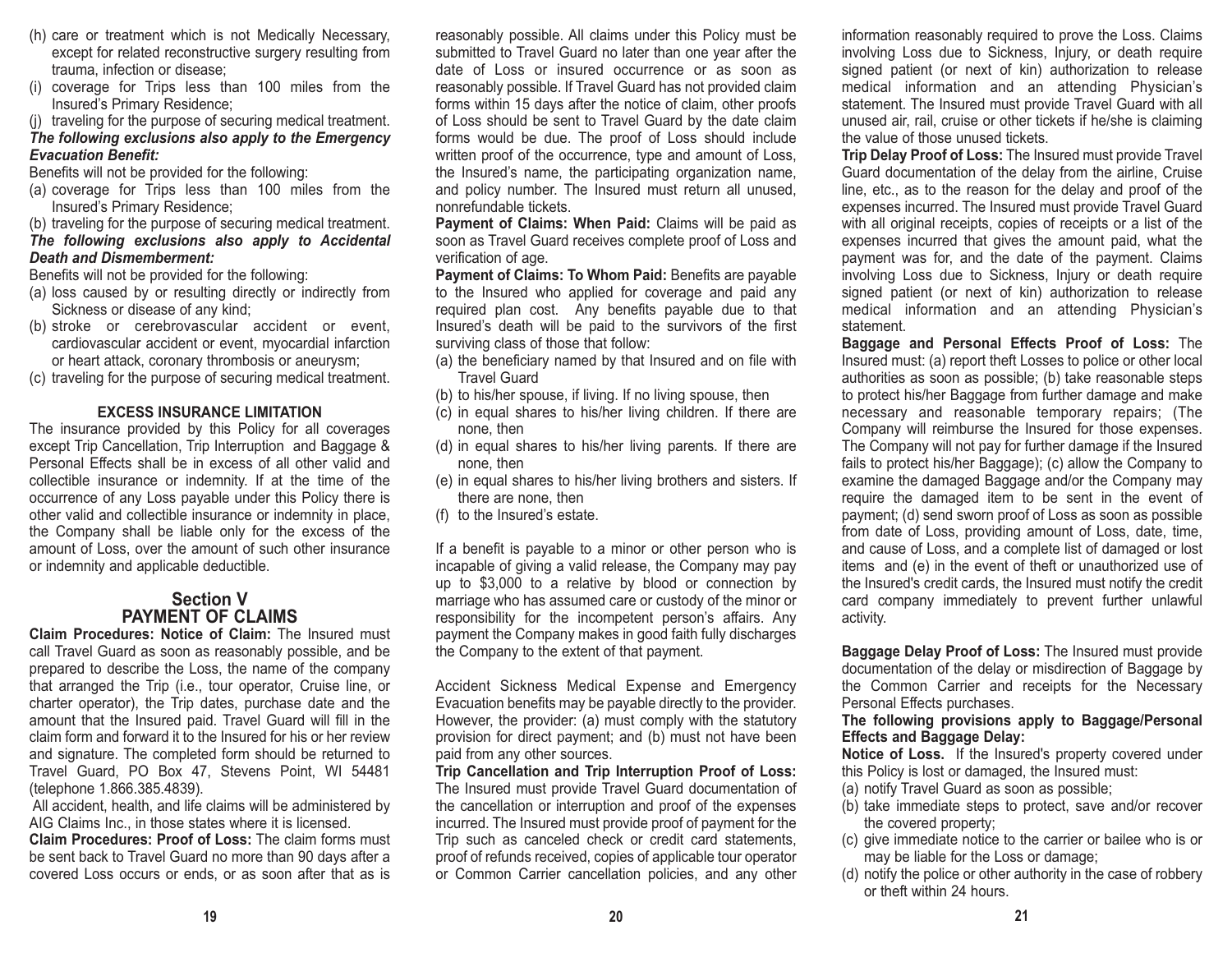- (h) care or treatment which is not Medically Necessary, except for related reconstructive surgery resulting from trauma, infection or disease;
- (i) coverage for Trips less than 100 miles from the Insured's Primary Residence;

(j) traveling for the purpose of securing medical treatment.

#### *The following exclusions also apply to the Emergency Evacuation Benefit:*

Benefits will not be provided for the following:

- (a) coverage for Trips less than 100 miles from the Insured's Primary Residence;
- (b) traveling for the purpose of securing medical treatment.

#### *The following exclusions also apply to Accidental Death and Dismemberment:*

Benefits will not be provided for the following:

- (a) loss caused by or resulting directly or indirectly from Sickness or disease of any kind;
- (b) stroke or cerebrovascular accident or event, cardiovascular accident or event, myocardial infarction or heart attack, coronary thrombosis or aneurysm;
- (c) traveling for the purpose of securing medical treatment.

#### **EXCESS INSURANCE LIMITATION**

The insurance provided by this Policy for all coverages except Trip Cancellation, Trip Interruption and Baggage & Personal Effects shall be in excess of all other valid andcollectible insurance or indemnity. If at the time of the occurrence of any Loss payable under this Policy there is other valid and collectible insurance or indemnity in place, the Company shall be liable only for the excess of the amount of Loss, over the amount of such other insurance or indemnity and applicable deductible.

## **Section VPAYMENT OF CLAIMS**

**Claim Procedures: Notice of Claim:** The Insured must call Travel Guard as soon as reasonably possible, and be prepared to describe the Loss, the name of the company that arranged the Trip (i.e., tour operator, Cruise line, or charter operator), the Trip dates, purchase date and the amount that the Insured paid. Travel Guard will fill in the claim form and forward it to the Insured for his or her reviewand signature. The completed form should be returned to Travel Guard, PO Box 47, Stevens Point, WI 54481 (telephone 1.866.385.4839).

All accident, health, and life claims will be administered by AIG Claims Inc., in those states where it is licensed.

**Claim Procedures: Proof of Loss:** The claim forms must be sent back to Travel Guard no more than 90 days after a covered Loss occurs or ends, or as soon after that as is reasonably possible. All claims under this Policy must be submitted to Travel Guard no later than one year after the date of Loss or insured occurrence or as soon asreasonably possible. If Travel Guard has not provided claim forms within 15 days after the notice of claim, other proofs of Loss should be sent to Travel Guard by the date claim forms would be due. The proof of Loss should include written proof of the occurrence, type and amount of Loss, the Insured's name, the participating organization name, and policy number. The Insured must return all unused, nonrefundable tickets.

**Payment of Claims: When Paid:** Claims will be paid as soon as Travel Guard receives complete proof of Loss and verification of age.

**Payment of Claims: To Whom Paid:** Benefits are payable to the Insured who applied for coverage and paid any required plan cost. Any benefits payable due to that Insured's death will be paid to the survivors of the first surviving class of those that follow:

- (a) the beneficiary named by that Insured and on file with Travel Guard
- (b) to his/her spouse, if living. If no living spouse, then
- (c) in equal shares to his/her living children. If there are none, then
- (d) in equal shares to his/her living parents. If there are none, then
- (e) in equal shares to his/her living brothers and sisters. If there are none, then
- (f) to the Insured's estate.

If a benefit is payable to a minor or other person who is incapable of giving a valid release, the Company may pay up to \$3,000 to a relative by blood or connection by marriage who has assumed care or custody of the minor or responsibility for the incompetent person's affairs. Any payment the Company makes in good faith fully discharges the Company to the extent of that payment.

Accident Sickness Medical Expense and Emergency Evacuation benefits may be payable directly to the provider. However, the provider: (a) must comply with the statutory provision for direct payment; and (b) must not have been paid from any other sources.

**Trip Cancellation and Trip Interruption Proof of Loss:** The Insured must provide Travel Guard documentation of the cancellation or interruption and proof of the expenses incurred. The Insured must provide proof of payment for the Trip such as canceled check or credit card statements, proof of refunds received, copies of applicable tour operator or Common Carrier cancellation policies, and any other

information reasonably required to prove the Loss. Claims involving Loss due to Sickness, Injury, or death require signed patient (or next of kin) authorization to release medical information and an attending Physician's statement. The Insured must provide Travel Guard with all unused air, rail, cruise or other tickets if he/she is claiming the value of those unused tickets.

**Trip Delay Proof of Loss:** The Insured must provide Travel Guard documentation of the delay from the airline, Cruise line, etc., as to the reason for the delay and proof of the expenses incurred. The Insured must provide Travel Guard with all original receipts, copies of receipts or a list of the expenses incurred that gives the amount paid, what the payment was for, and the date of the payment. Claims involving Loss due to Sickness, Injury or death require signed patient (or next of kin) authorization to release medical information and an attending Physician's statement.

**Baggage and Personal Effects Proof of Loss:** The Insured must: (a) report theft Losses to police or other local authorities as soon as possible; (b) take reasonable steps to protect his/her Baggage from further damage and make necessary and reasonable temporary repairs; (The Company will reimburse the Insured for those expenses. The Company will not pay for further damage if the Insured fails to protect his/her Baggage); (c) allow the Company to examine the damaged Baggage and/or the Company may require the damaged item to be sent in the event of payment; (d) send sworn proof of Loss as soon as possible from date of Loss, providing amount of Loss, date, time, and cause of Loss, and a complete list of damaged or lost items and (e) in the event of theft or unauthorized use of the Insured's credit cards, the Insured must notify the credit card company immediately to prevent further unlawful activity.

**Baggage Delay Proof of Loss:** The Insured must provide documentation of the delay or misdirection of Baggage by the Common Carrier and receipts for the Necessary Personal Effects purchases.

#### **The following provisions apply to Baggage/Personal Effects and Baggage Delay:**

**Notice of Loss.** If the Insured's property covered under this Policy is lost or damaged, the Insured must:

- (a) notify Travel Guard as soon as possible;
- (b) take immediate steps to protect, save and/or recover the covered property;
- (c) give immediate notice to the carrier or bailee who is or may be liable for the Loss or damage;
- (d) notify the police or other authority in the case of robbery or theft within 24 hours.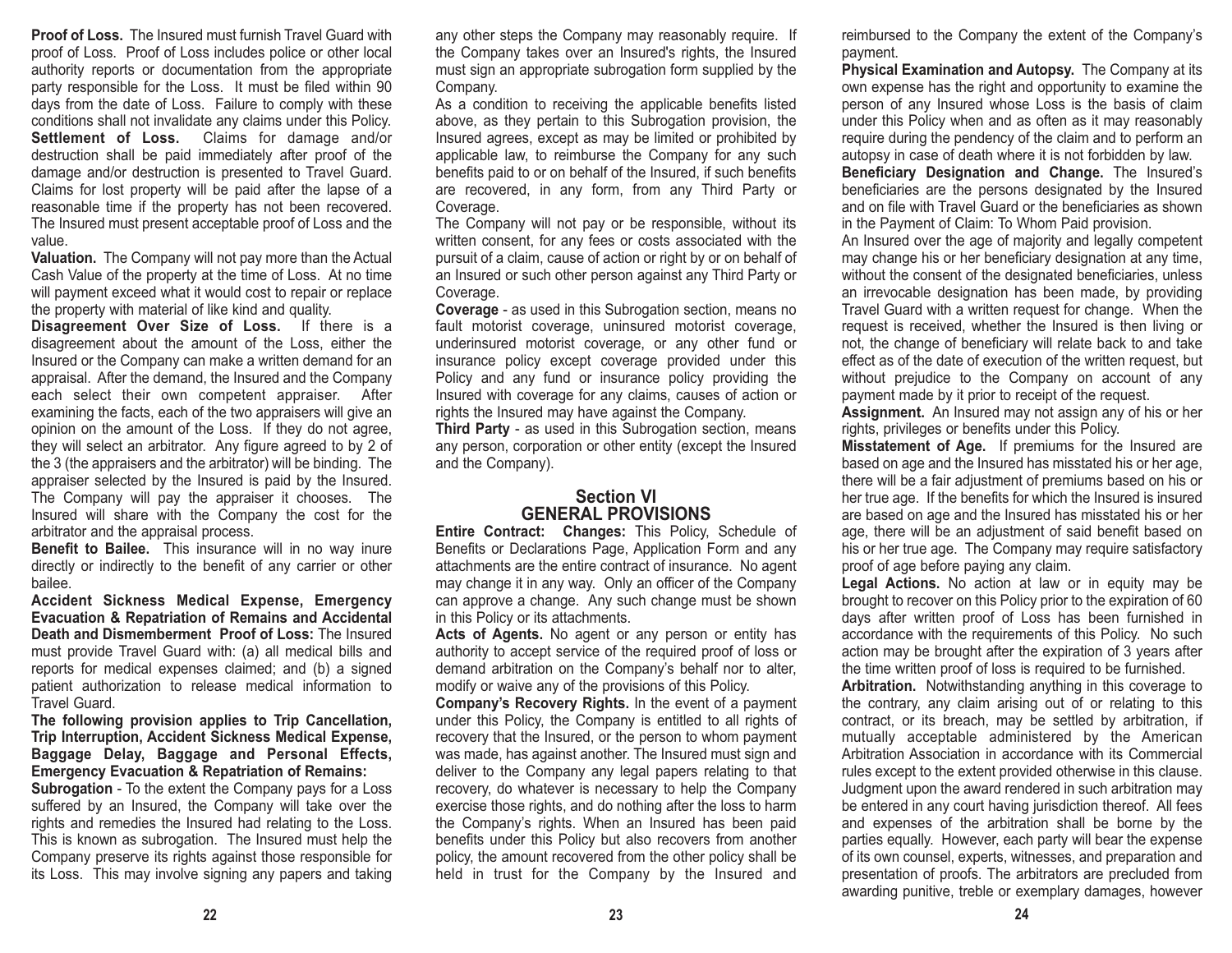**Proof of Loss.** The Insured must furnish Travel Guard withproof of Loss. Proof of Loss includes police or other local authority reports or documentation from the appropriate party responsible for the Loss. It must be filed within 90 days from the date of Loss. Failure to comply with these conditions shall not invalidate any claims under this Policy. **Settlement of Loss.** Claims for damage and/or destruction shall be paid immediately after proof of the damage and/or destruction is presented to Travel Guard. Claims for lost property will be paid after the lapse of a reasonable time if the property has not been recovered. The Insured must present acceptable proof of Loss and the value.

**Valuation.** The Company will not pay more than the Actual Cash Value of the property at the time of Loss. At no time will payment exceed what it would cost to repair or replace the property with material of like kind and quality.

**Disagreement Over Size of Loss.** If there is a disagreement about the amount of the Loss, either the Insured or the Company can make a written demand for an appraisal. After the demand, the Insured and the Company each select their own competent appraiser. After examining the facts, each of the two appraisers will give an opinion on the amount of the Loss. If they do not agree, they will select an arbitrator. Any figure agreed to by 2 of the 3 (the appraisers and the arbitrator) will be binding. The appraiser selected by the Insured is paid by the Insured. The Company will pay the appraiser it chooses. The Insured will share with the Company the cost for the arbitrator and the appraisal process.

**Benefit to Bailee.** This insurance will in no way inure directly or indirectly to the benefit of any carrier or other bailee.

**Accident Sickness Medical Expense, Emergency Evacuation & Repatriation of Remains and Accidental Death and Dismemberment Proof of Loss:** The Insuredmust provide Travel Guard with: (a) all medical bills and reports for medical expenses claimed; and (b) a signed patient authorization to release medical information to Travel Guard.

**The following provision applies to Trip Cancellation, Trip Interruption, Accident Sickness Medical Expense, Baggage Delay, Baggage and Personal Effects, Emergency Evacuation & Repatriation of Remains:**

**Subrogation** - To the extent the Company pays for a Loss suffered by an Insured, the Company will take over the rights and remedies the Insured had relating to the Loss. This is known as subrogation. The Insured must help the Company preserve its rights against those responsible for its Loss. This may involve signing any papers and taking any other steps the Company may reasonably require. If the Company takes over an Insured's rights, the Insured must sign an appropriate subrogation form supplied by the Company.

As a condition to receiving the applicable benefits listed above, as they pertain to this Subrogation provision, the Insured agrees, except as may be limited or prohibited by applicable law, to reimburse the Company for any such benefits paid to or on behalf of the Insured, if such benefits are recovered, in any form, from any Third Party or Coverage.

The Company will not pay or be responsible, without its written consent, for any fees or costs associated with the pursuit of a claim, cause of action or right by or on behalf of an Insured or such other person against any Third Party or Coverage.

**Coverage** - as used in this Subrogation section, means no fault motorist coverage, uninsured motorist coverage, underinsured motorist coverage, or any other fund or insurance policy except coverage provided under this Policy and any fund or insurance policy providing the Insured with coverage for any claims, causes of action or rights the Insured may have against the Company.

**Third Party** - as used in this Subrogation section, means any person, corporation or other entity (except the Insured and the Company).

#### **Section VIGENERAL PROVISIONS**

**Entire Contract: Changes:** This Policy, Schedule of Benefits or Declarations Page, Application Form and any attachments are the entire contract of insurance. No agent may change it in any way. Only an officer of the Company can approve a change. Any such change must be shown in this Policy or its attachments.

Acts of Agents. No agent or any person or entity has authority to accept service of the required proof of loss or demand arbitration on the Company's behalf nor to alter, modify or waive any of the provisions of this Policy.

**Company's Recovery Rights.** In the event of a payment under this Policy, the Company is entitled to all rights of recovery that the Insured, or the person to whom payment was made, has against another. The Insured must sign and deliver to the Company any legal papers relating to that recovery, do whatever is necessary to help the Company exercise those rights, and do nothing after the loss to harm the Company's rights. When an Insured has been paid benefits under this Policy but also recovers from another policy, the amount recovered from the other policy shall be held in trust for the Company by the Insured and

reimbursed to the Company the extent of the Company's payment.

**Physical Examination and Autopsy.** The Company at its own expense has the right and opportunity to examine the person of any Insured whose Loss is the basis of claim under this Policy when and as often as it may reasonably require during the pendency of the claim and to perform an autopsy in case of death where it is not forbidden by law. **Beneficiary Designation and Change.** The Insured's

beneficiaries are the persons designated by the Insured and on file with Travel Guard or the beneficiaries as shownin the Payment of Claim: To Whom Paid provision.

An Insured over the age of majority and legally competent may change his or her beneficiary designation at any time, without the consent of the designated beneficiaries, unless an irrevocable designation has been made, by providing Travel Guard with a written request for change. When the request is received, whether the Insured is then living or not, the change of beneficiary will relate back to and take effect as of the date of execution of the written request, but without prejudice to the Company on account of any payment made by it prior to receipt of the request.

**Assignment.** An Insured may not assign any of his or her rights, privileges or benefits under this Policy.

**Misstatement of Age.** If premiums for the Insured are based on age and the Insured has misstated his or her age, there will be a fair adjustment of premiums based on his or her true age. If the benefits for which the Insured is insured are based on age and the Insured has misstated his or her age, there will be an adjustment of said benefit based on his or her true age. The Company may require satisfactory proof of age before paying any claim.

**Legal Actions.** No action at law or in equity may be brought to recover on this Policy prior to the expiration of 60 days after written proof of Loss has been furnished in accordance with the requirements of this Policy. No such action may be brought after the expiration of 3 years after the time written proof of loss is required to be furnished.

**Arbitration.** Notwithstanding anything in this coverage to the contrary, any claim arising out of or relating to this contract, or its breach, may be settled by arbitration, if mutually acceptable administered by the American Arbitration Association in accordance with its Commercialrules except to the extent provided otherwise in this clause. Judgment upon the award rendered in such arbitration may be entered in any court having jurisdiction thereof. All fees and expenses of the arbitration shall be borne by the parties equally. However, each party will bear the expense of its own counsel, experts, witnesses, and preparation and presentation of proofs. The arbitrators are precluded from awarding punitive, treble or exemplary damages, however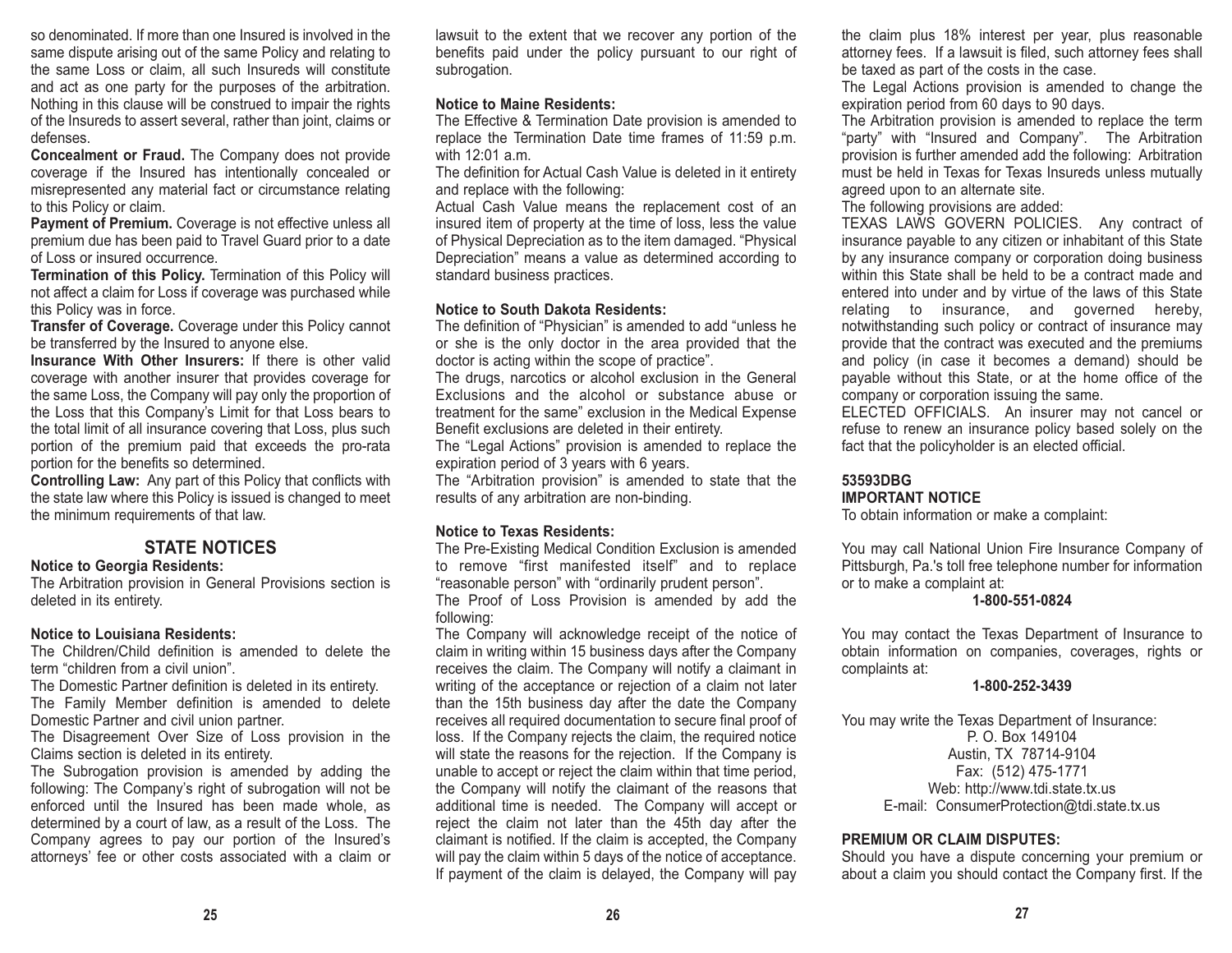so denominated. If more than one Insured is involved in thesame dispute arising out of the same Policy and relating to the same Loss or claim, all such Insureds will constitute and act as one party for the purposes of the arbitration. Nothing in this clause will be construed to impair the rights of the Insureds to assert several, rather than joint, claims or defenses.

**Concealment or Fraud.** The Company does not provide coverage if the Insured has intentionally concealed or misrepresented any material fact or circumstance relating to this Policy or claim.

**Payment of Premium.** Coverage is not effective unless all premium due has been paid to Travel Guard prior to a date of Loss or insured occurrence.

**Termination of this Policy.** Termination of this Policy will not affect a claim for Loss if coverage was purchased while this Policy was in force.

**Transfer of Coverage.** Coverage under this Policy cannot be transferred by the Insured to anyone else.

**Insurance With Other Insurers:** If there is other validcoverage with another insurer that provides coverage for the same Loss, the Company will pay only the proportion of the Loss that this Company's Limit for that Loss bears to the total limit of all insurance covering that Loss, plus such portion of the premium paid that exceeds the pro-rata portion for the benefits so determined.

**Controlling Law:** Any part of this Policy that conflicts with the state law where this Policy is issued is changed to meet the minimum requirements of that law.

# **STATE NOTICES**

#### **Notice to Georgia Residents:**

The Arbitration provision in General Provisions section is deleted in its entirety.

#### **Notice to Louisiana Residents:**

The Children/Child definition is amended to delete the term "children from a civil union".

The Domestic Partner definition is deleted in its entirety. The Family Member definition is amended to delete Domestic Partner and civil union partner.

The Disagreement Over Size of Loss provision in the Claims section is deleted in its entirety.

The Subrogation provision is amended by adding the following: The Company's right of subrogation will not be enforced until the Insured has been made whole, as determined by a court of law, as a result of the Loss. The Company agrees to pay our portion of the Insured's attorneys' fee or other costs associated with a claim or

lawsuit to the extent that we recover any portion of the benefits paid under the policy pursuant to our right of subrogation.

# **Notice to Maine Residents:**

The Effective & Termination Date provision is amended to replace the Termination Date time frames of 11:59 p.m. with 12:01 a.m.

The definition for Actual Cash Value is deleted in it entirety and replace with the following:

Actual Cash Value means the replacement cost of an insured item of property at the time of loss, less the value of Physical Depreciation as to the item damaged. "Physical Depreciation" means a value as determined according to standard business practices.

# **Notice to South Dakota Residents:**

The definition of "Physician" is amended to add "unless he or she is the only doctor in the area provided that the doctor is acting within the scope of practice".

The drugs, narcotics or alcohol exclusion in the General Exclusions and the alcohol or substance abuse or treatment for the same" exclusion in the Medical Expense Benefit exclusions are deleted in their entirety.

The "Legal Actions" provision is amended to replace the expiration period of 3 years with 6 years.

The "Arbitration provision" is amended to state that the results of any arbitration are non-binding.

# **Notice to Texas Residents:**

The Pre-Existing Medical Condition Exclusion is amended to remove "first manifested itself" and to replace "reasonable person" with "ordinarily prudent person".

The Proof of Loss Provision is amended by add the following:

The Company will acknowledge receipt of the notice of claim in writing within 15 business days after the Company receives the claim. The Company will notify a claimant in writing of the acceptance or rejection of a claim not later than the 15th business day after the date the Company receives all required documentation to secure final proof of loss. If the Company rejects the claim, the required notice will state the reasons for the rejection. If the Company is unable to accept or reject the claim within that time period, the Company will notify the claimant of the reasons that additional time is needed. The Company will accept or reject the claim not later than the 45th day after the claimant is notified. If the claim is accepted, the Company will pay the claim within 5 days of the notice of acceptance. If payment of the claim is delayed, the Company will pay

the claim plus 18% interest per year, plus reasonable attorney fees. If a lawsuit is filed, such attorney fees shall be taxed as part of the costs in the case.

The Legal Actions provision is amended to change the expiration period from 60 days to 90 days.

The Arbitration provision is amended to replace the term "party" with "Insured and Company". The Arbitration provision is further amended add the following: Arbitration must be held in Texas for Texas Insureds unless mutually agreed upon to an alternate site.

The following provisions are added:

TEXAS LAWS GOVERN POLICIES. Any contract of insurance payable to any citizen or inhabitant of this State by any insurance company or corporation doing business within this State shall be held to be a contract made andentered into under and by virtue of the laws of this State relating to insurance, and governed hereby, notwithstanding such policy or contract of insurance may provide that the contract was executed and the premiums and policy (in case it becomes a demand) should be payable without this State, or at the home office of the company or corporation issuing the same.

ELECTED OFFICIALS. An insurer may not cancel or refuse to renew an insurance policy based solely on the fact that the policyholder is an elected official.

### **53593DBG**

#### **IMPORTANT NOTICE**

To obtain information or make a complaint:

You may call National Union Fire Insurance Company of Pittsburgh, Pa.'s toll free telephone number for information or to make a complaint at:

### **1-800-551-0824**

You may contact the Texas Department of Insurance to obtain information on companies, coverages, rights or complaints at:

#### **1-800-252-3439**

You may write the Texas Department of Insurance: P. O. Box 149104Austin, TX 78714-9104 Fax: (512) 475-1771 Web: http://www.tdi.state.tx.us E-mail: ConsumerProtection@tdi.state.tx.us

## **PREMIUM OR CLAIM DISPUTES:**

Should you have a dispute concerning your premium or about a claim you should contact the Company first. If the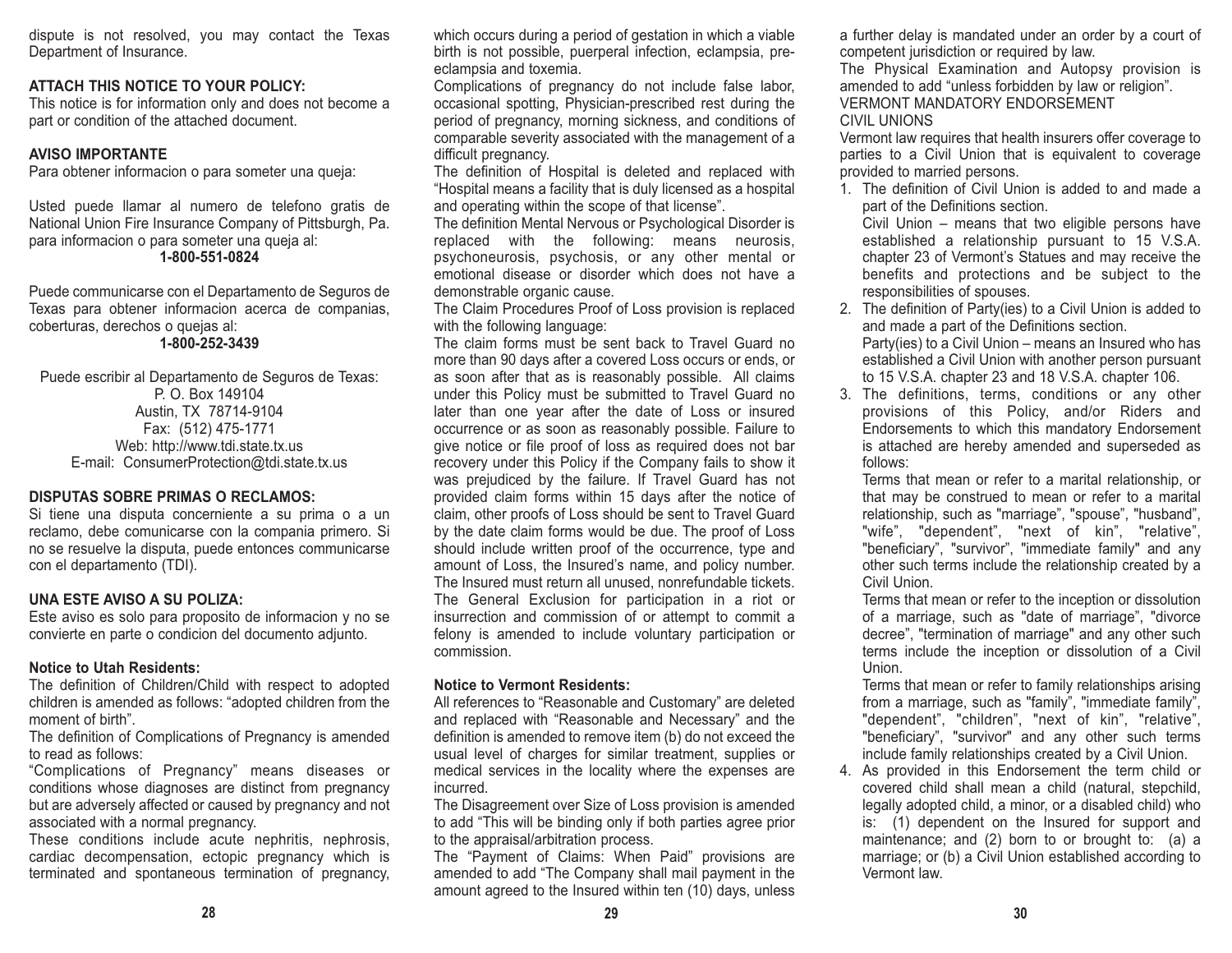dispute is not resolved, you may contact the Texas Department of Insurance.

## **ATTACH THIS NOTICE TO YOUR POLICY:**

This notice is for information only and does not become a part or condition of the attached document.

### **AVISO IMPORTANTE**

Para obtener informacion o para someter una queja:

Usted puede llamar al numero de telefono gratis de National Union Fire Insurance Company of Pittsburgh, Pa. para informacion o para someter una queja al: **1-800-551-0824**

Puede communicarse con el Departamento de Seguros de Texas para obtener informacion acerca de companias, coberturas, derechos o quejas al:

#### **1-800-252-3439**

Puede escribir al Departamento de Seguros de Texas: P. O. Box 149104Austin, TX 78714-9104 Fax: (512) 475-1771 Web: http://www.tdi.state.tx.us E-mail: ConsumerProtection@tdi.state.tx.us

#### **DISPUTAS SOBRE PRIMAS O RECLAMOS:**

Si tiene una disputa concerniente a su prima o a un reclamo, debe comunicarse con la compania primero. Si no se resuelve la disputa, puede entonces communicarse con el departamento (TDI).

#### **UNA ESTE AVISO A SU POLIZA:**

Este aviso es solo para proposito de informacion y no se convierte en parte o condicion del documento adjunto.

## **Notice to Utah Residents:**

The definition of Children/Child with respect to adopted children is amended as follows: "adopted children from the moment of birth".

The definition of Complications of Pregnancy is amended to read as follows:

"Complications of Pregnancy" means diseases or conditions whose diagnoses are distinct from pregnancy but are adversely affected or caused by pregnancy and not associated with a normal pregnancy.

These conditions include acute nephritis, nephrosis, cardiac decompensation, ectopic pregnancy which is terminated and spontaneous termination of pregnancy, which occurs during a period of gestation in which a viable birth is not possible, puerperal infection, eclampsia, preeclampsia and toxemia.

Complications of pregnancy do not include false labor, occasional spotting, Physician-prescribed rest during the period of pregnancy, morning sickness, and conditions of comparable severity associated with the management of a difficult pregnancy.

The definition of Hospital is deleted and replaced with "Hospital means a facility that is duly licensed as a hospital and operating within the scope of that license".

The definition Mental Nervous or Psychological Disorder is replaced with the following: means neurosis, psychoneurosis, psychosis, or any other mental or emotional disease or disorder which does not have ademonstrable organic cause.

The Claim Procedures Proof of Loss provision is replaced with the following language:

The claim forms must be sent back to Travel Guard nomore than 90 days after a covered Loss occurs or ends, or as soon after that as is reasonably possible. All claims under this Policy must be submitted to Travel Guard no later than one year after the date of Loss or insured occurrence or as soon as reasonably possible. Failure to give notice or file proof of loss as required does not bar recovery under this Policy if the Company fails to show it was prejudiced by the failure. If Travel Guard has not provided claim forms within 15 days after the notice of claim, other proofs of Loss should be sent to Travel Guard by the date claim forms would be due. The proof of Loss should include written proof of the occurrence, type and amount of Loss, the Insured's name, and policy number. The Insured must return all unused, nonrefundable tickets. The General Exclusion for participation in a riot or insurrection and commission of or attempt to commit a felony is amended to include voluntary participation or commission.

## **Notice to Vermont Residents:**

All references to "Reasonable and Customary" are deleted and replaced with "Reasonable and Necessary" and the definition is amended to remove item (b) do not exceed the usual level of charges for similar treatment, supplies or medical services in the locality where the expenses are incurred.

The Disagreement over Size of Loss provision is amended to add "This will be binding only if both parties agree prior to the appraisal/arbitration process.

The "Payment of Claims: When Paid" provisions are amended to add "The Company shall mail payment in the amount agreed to the Insured within ten (10) days, unless a further delay is mandated under an order by a court of competent jurisdiction or required by law.

The Physical Examination and Autopsy provision is amended to add "unless forbidden by law or religion". VERMONT MANDATORY ENDORSEMENTCIVIL UNIONS

Vermont law requires that health insurers offer coverage to parties to a Civil Union that is equivalent to coverage provided to married persons.

1. The definition of Civil Union is added to and made apart of the Definitions section.

Civil Union – means that two eligible persons have established a relationship pursuant to 15 V.S.A. chapter 23 of Vermont's Statues and may receive the benefits and protections and be subject to the responsibilities of spouses.

2. The definition of Party(ies) to a Civil Union is added to and made a part of the Definitions section. Party(ies) to a Civil Union – means an Insured who has established a Civil Union with another person pursuant to 15 V.S.A. chapter 23 and 18 V.S.A. chapter 106.

3. The definitions, terms, conditions or any other provisions of this Policy, and/or Riders and Endorsements to which this mandatory Endorsement is attached are hereby amended and superseded as follows:

Terms that mean or refer to a marital relationship, or that may be construed to mean or refer to a marital relationship, such as "marriage", "spouse", "husband", "wife", "dependent", "next of kin", "relative", "beneficiary", "survivor", "immediate family" and any other such terms include the relationship created by a Civil Union.

Terms that mean or refer to the inception or dissolution of a marriage, such as "date of marriage", "divorce decree", "termination of marriage" and any other such terms include the inception or dissolution of a Civil Union.

Terms that mean or refer to family relationships arising from a marriage, such as "family", "immediate family", "dependent", "children", "next of kin", "relative", "beneficiary", "survivor" and any other such terms include family relationships created by a Civil Union.

4. As provided in this Endorsement the term child or covered child shall mean a child (natural, stepchild, legally adopted child, a minor, or a disabled child) who is: (1) dependent on the Insured for support and maintenance; and (2) born to or brought to: (a) a marriage; or (b) a Civil Union established according to Vermont law.